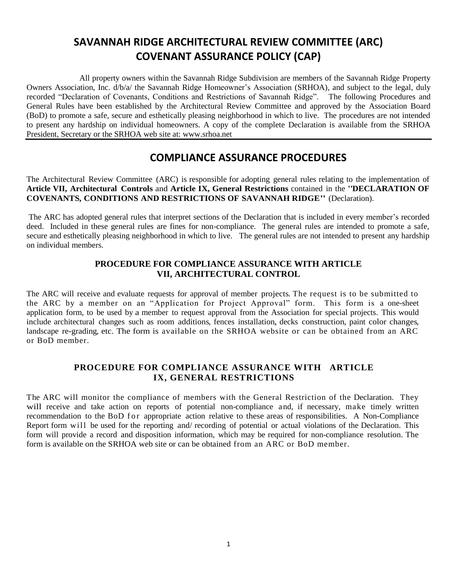# **SAVANNAH RIDGE ARCHITECTURAL REVIEW COMMITTEE (ARC) COVENANT ASSURANCE POLICY (CAP)**

 All property owners within the Savannah Ridge Subdivision are members of the Savannah Ridge Property Owners Association, Inc. d/b/a/ the Savannah Ridge Homeowner's Association (SRHOA), and subject to the legal, duly recorded "Declaration of Covenants, Conditions and Restrictions of Savannah Ridge". The following Procedures and General Rules have been established by the Architectural Review Committee and approved by the Association Board (BoD) to promote a safe, secure and esthetically pleasing neighborhood in which to live. The procedures are not intended to present any hardship on individual homeowners. A copy of the complete Declaration is available from the SRHOA President, Secretary or the SRHOA web site at: www.srhoa.net

# **COMPLIANCE ASSURANCE PROCEDURES**

The Architectural Review Committee (ARC) is responsible for adopting general rules relating to the implementation of **Article VII, Architectural Controls** and **Article IX, General Restrictions** contained in the "**DECLARATION OF COVENANTS, CONDITIONS AND RESTRICTIONS OF SAVANNAH RIDGE"** (Declaration).

The ARC has adopted general rules that interpret sections of the Declaration that is included in every member's recorded deed. Included in these general rules are fines for non-compliance. The general rules are intended to promote a safe, secure and esthetically pleasing neighborhood in which to live. The general rules are not intended to present any hardship on individual members.

# **PROCEDURE FOR COMPLIANCE ASSURANCE WITH ARTICLE VII, ARCHITECTURAL CONTROL**

The ARC will receive and evaluate requests for approval of member projects. The request is to be submitted to the ARC by a member on an "Application for Project Approval" form. This form is a one-sheet application form, to be used by a member to request approval from the Association for special projects. This would include architectural changes such as room additions, fences installation, decks construction, paint color changes, landscape re-grading, etc. The form is available on the SRHOA website or can be obtained from an ARC or BoD member.

# **PROCEDURE FOR COMPLIANCE ASSURANCE WITH ARTICLE IX, GENERAL RESTRICTIONS**

The ARC will monitor the compliance of members with the General Restriction of the Declaration. They will receive and take action on reports of potential non-compliance and, if necessary, make timely written recommendation to the BoD f or appropriate action relative to these areas of responsibilities. A Non-Compliance Report form will be used for the reporting and/ recording of potential or actual violations of the Declaration. This form will provide a record and disposition information, which may be required for non-compliance resolution. The form is available on the SRHOA web site or can be obtained from an ARC or BoD member.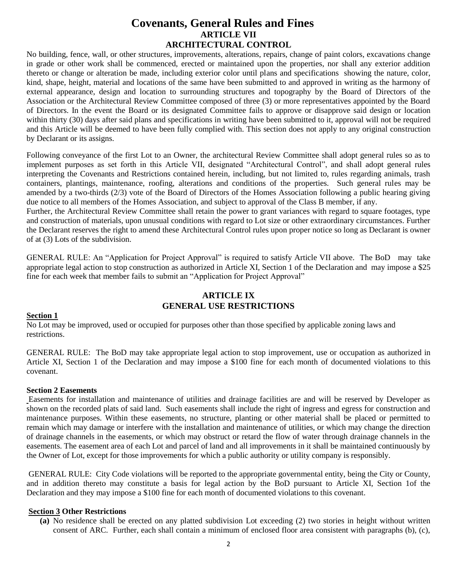# **Covenants, General Rules and Fines ARTICLE VII ARCHITECTURAL CONTROL**

No building, fence, wall, or other structures, improvements, alterations, repairs, change of paint colors, excavations change in grade or other work shall be commenced, erected or maintained upon the properties, nor shall any exterior addition thereto or change or alteration be made, including exterior color until plans and specifications showing the nature, color, kind, shape, height, material and locations of the same have been submitted to and approved in writing as the harmony of external appearance, design and location to surrounding structures and topography by the Board of Directors of the Association or the Architectural Review Committee composed of three (3) or more representatives appointed by the Board of Directors. In the event the Board or its designated Committee fails to approve or disapprove said design or location within thirty (30) days after said plans and specifications in writing have been submitted to it, approval will not be required and this Article will be deemed to have been fully complied with. This section does not apply to any original construction by Declarant or its assigns.

Following conveyance of the first Lot to an Owner, the architectural Review Committee shall adopt general rules so as to implement purposes as set forth in this Article VII, designated "Architectural Control", and shall adopt general rules interpreting the Covenants and Restrictions contained herein, including, but not limited to, rules regarding animals, trash containers, plantings, maintenance, roofing, alterations and conditions of the properties. Such general rules may be amended by a two-thirds (2/3) vote of the Board of Directors of the Homes Association following a public hearing giving due notice to all members of the Homes Association, and subject to approval of the Class B member, if any.

Further, the Architectural Review Committee shall retain the power to grant variances with regard to square footages, type and construction of materials, upon unusual conditions with regard to Lot size or other extraordinary circumstances. Further the Declarant reserves the right to amend these Architectural Control rules upon proper notice so long as Declarant is owner of at (3) Lots of the subdivision.

GENERAL RULE: An "Application for Project Approval" is required to satisfy Article VII above. The BoD may take appropriate legal action to stop construction as authorized in Article XI, Section 1 of the Declaration and may impose a \$25 fine for each week that member fails to submit an "Application for Project Approval"

# **ARTICLE IX GENERAL USE RESTRICTIONS**

#### **Section 1**

No Lot may be improved, used or occupied for purposes other than those specified by applicable zoning laws and restrictions.

GENERAL RULE: The BoD may take appropriate legal action to stop improvement, use or occupation as authorized in Article XI, Section 1 of the Declaration and may impose a \$100 fine for each month of documented violations to this covenant.

#### **Section 2 Easements**

Easements for installation and maintenance of utilities and drainage facilities are and will be reserved by Developer as shown on the recorded plats of said land. Such easements shall include the right of ingress and egress for construction and maintenance purposes. Within these easements, no structure, planting or other material shall be placed or permitted to remain which may damage or interfere with the installation and maintenance of utilities, or which may change the direction of drainage channels in the easements, or which may obstruct or retard the flow of water through drainage channels in the easements. The easement area of each Lot and parcel of land and all improvements in it shall be maintained continuously by the Owner of Lot, except for those improvements for which a public authority or utility company is responsibly.

GENERAL RULE: City Code violations will be reported to the appropriate governmental entity, being the City or County, and in addition thereto may constitute a basis for legal action by the BoD pursuant to Article XI, Section 1of the Declaration and they may impose a \$100 fine for each month of documented violations to this covenant.

## **Section 3 Other Restrictions**

**(a)** No residence shall be erected on any platted subdivision Lot exceeding (2) two stories in height without written consent of ARC. Further, each shall contain a minimum of enclosed floor area consistent with paragraphs (b), (c),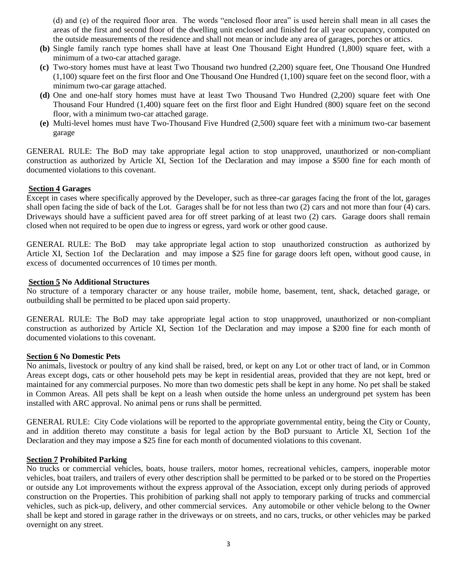(d) and (e) of the required floor area. The words "enclosed floor area" is used herein shall mean in all cases the areas of the first and second floor of the dwelling unit enclosed and finished for all year occupancy, computed on the outside measurements of the residence and shall not mean or include any area of garages, porches or attics.

- **(b)** Single family ranch type homes shall have at least One Thousand Eight Hundred (1,800) square feet, with a minimum of a two-car attached garage.
- **(c)** Two-story homes must have at least Two Thousand two hundred (2,200) square feet, One Thousand One Hundred (1,100) square feet on the first floor and One Thousand One Hundred (1,100) square feet on the second floor, with a minimum two-car garage attached.
- **(d)** One and one-half story homes must have at least Two Thousand Two Hundred (2,200) square feet with One Thousand Four Hundred (1,400) square feet on the first floor and Eight Hundred (800) square feet on the second floor, with a minimum two-car attached garage.
- **(e)** Multi-level homes must have Two-Thousand Five Hundred (2,500) square feet with a minimum two-car basement garage

GENERAL RULE: The BoD may take appropriate legal action to stop unapproved, unauthorized or non-compliant construction as authorized by Article XI, Section 1of the Declaration and may impose a \$500 fine for each month of documented violations to this covenant.

#### **Section 4 Garages**

Except in cases where specifically approved by the Developer, such as three-car garages facing the front of the lot, garages shall open facing the side of back of the Lot. Garages shall be for not less than two (2) cars and not more than four (4) cars. Driveways should have a sufficient paved area for off street parking of at least two (2) cars. Garage doors shall remain closed when not required to be open due to ingress or egress, yard work or other good cause.

GENERAL RULE: The BoD may take appropriate legal action to stop unauthorized construction as authorized by Article XI, Section 1of the Declaration and may impose a \$25 fine for garage doors left open, without good cause, in excess of documented occurrences of 10 times per month.

#### **Section 5 No Additional Structures**

No structure of a temporary character or any house trailer, mobile home, basement, tent, shack, detached garage, or outbuilding shall be permitted to be placed upon said property.

GENERAL RULE: The BoD may take appropriate legal action to stop unapproved, unauthorized or non-compliant construction as authorized by Article XI, Section 1of the Declaration and may impose a \$200 fine for each month of documented violations to this covenant.

### **Section 6 No Domestic Pets**

No animals, livestock or poultry of any kind shall be raised, bred, or kept on any Lot or other tract of land, or in Common Areas except dogs, cats or other household pets may be kept in residential areas, provided that they are not kept, bred or maintained for any commercial purposes. No more than two domestic pets shall be kept in any home. No pet shall be staked in Common Areas. All pets shall be kept on a leash when outside the home unless an underground pet system has been installed with ARC approval. No animal pens or runs shall be permitted.

GENERAL RULE: City Code violations will be reported to the appropriate governmental entity, being the City or County, and in addition thereto may constitute a basis for legal action by the BoD pursuant to Article XI, Section 1of the Declaration and they may impose a \$25 fine for each month of documented violations to this covenant.

### **Section 7 Prohibited Parking**

No trucks or commercial vehicles, boats, house trailers, motor homes, recreational vehicles, campers, inoperable motor vehicles, boat trailers, and trailers of every other description shall be permitted to be parked or to be stored on the Properties or outside any Lot improvements without the express approval of the Association, except only during periods of approved construction on the Properties. This prohibition of parking shall not apply to temporary parking of trucks and commercial vehicles, such as pick-up, delivery, and other commercial services. Any automobile or other vehicle belong to the Owner shall be kept and stored in garage rather in the driveways or on streets, and no cars, trucks, or other vehicles may be parked overnight on any street.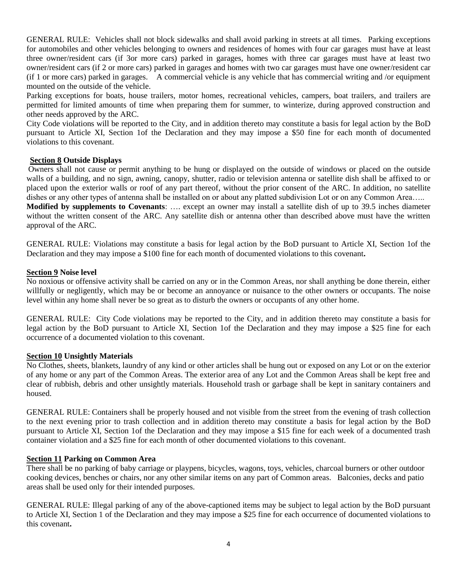GENERAL RULE: Vehicles shall not block sidewalks and shall avoid parking in streets at all times. Parking exceptions for automobiles and other vehicles belonging to owners and residences of homes with four car garages must have at least three owner/resident cars (if 3or more cars) parked in garages, homes with three car garages must have at least two owner/resident cars (if 2 or more cars) parked in garages and homes with two car garages must have one owner/resident car (if 1 or more cars) parked in garages. A commercial vehicle is any vehicle that has commercial writing and /or equipment mounted on the outside of the vehicle.

Parking exceptions for boats, house trailers, motor homes, recreational vehicles, campers, boat trailers, and trailers are permitted for limited amounts of time when preparing them for summer, to winterize, during approved construction and other needs approved by the ARC.

City Code violations will be reported to the City, and in addition thereto may constitute a basis for legal action by the BoD pursuant to Article XI, Section 1of the Declaration and they may impose a \$50 fine for each month of documented violations to this covenant.

#### **Section 8 Outside Displays**

Owners shall not cause or permit anything to be hung or displayed on the outside of windows or placed on the outside walls of a building, and no sign, awning, canopy, shutter, radio or television antenna or satellite dish shall be affixed to or placed upon the exterior walls or roof of any part thereof, without the prior consent of the ARC. In addition, no satellite dishes or any other types of antenna shall be installed on or about any platted subdivision Lot or on any Common Area.....

**Modified by supplements to Covenants**: …. except an owner may install a satellite dish of up to 39.5 inches diameter without the written consent of the ARC. Any satellite dish or antenna other than described above must have the written approval of the ARC.

GENERAL RULE: Violations may constitute a basis for legal action by the BoD pursuant to Article XI, Section 1of the Declaration and they may impose a \$100 fine for each month of documented violations to this covenant**.** 

#### **Section 9 Noise level**

No noxious or offensive activity shall be carried on any or in the Common Areas, nor shall anything be done therein, either willfully or negligently, which may be or become an annoyance or nuisance to the other owners or occupants. The noise level within any home shall never be so great as to disturb the owners or occupants of any other home.

GENERAL RULE: City Code violations may be reported to the City, and in addition thereto may constitute a basis for legal action by the BoD pursuant to Article XI, Section 1of the Declaration and they may impose a \$25 fine for each occurrence of a documented violation to this covenant.

#### **Section 10 Unsightly Materials**

No Clothes, sheets, blankets, laundry of any kind or other articles shall be hung out or exposed on any Lot or on the exterior of any home or any part of the Common Areas. The exterior area of any Lot and the Common Areas shall be kept free and clear of rubbish, debris and other unsightly materials. Household trash or garbage shall be kept in sanitary containers and housed.

GENERAL RULE: Containers shall be properly housed and not visible from the street from the evening of trash collection to the next evening prior to trash collection and in addition thereto may constitute a basis for legal action by the BoD pursuant to Article XI, Section 1of the Declaration and they may impose a \$15 fine for each week of a documented trash container violation and a \$25 fine for each month of other documented violations to this covenant.

#### **Section 11 Parking on Common Area**

There shall be no parking of baby carriage or playpens, bicycles, wagons, toys, vehicles, charcoal burners or other outdoor cooking devices, benches or chairs, nor any other similar items on any part of Common areas. Balconies, decks and patio areas shall be used only for their intended purposes.

GENERAL RULE: Illegal parking of any of the above-captioned items may be subject to legal action by the BoD pursuant to Article XI, Section 1 of the Declaration and they may impose a \$25 fine for each occurrence of documented violations to this covenant**.**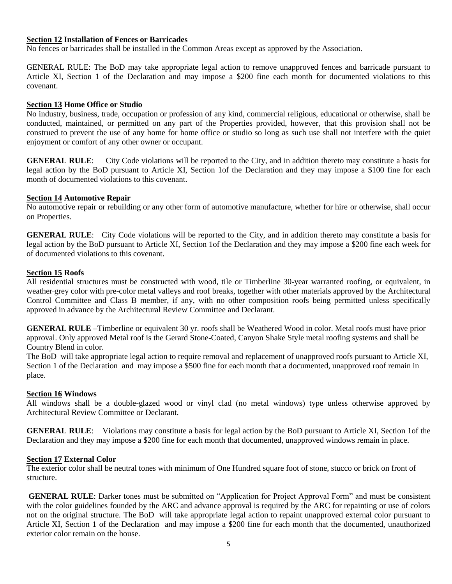#### **Section 12 Installation of Fences or Barricades**

No fences or barricades shall be installed in the Common Areas except as approved by the Association.

GENERAL RULE: The BoD may take appropriate legal action to remove unapproved fences and barricade pursuant to Article XI, Section 1 of the Declaration and may impose a \$200 fine each month for documented violations to this covenant.

#### **Section 13 Home Office or Studio**

No industry, business, trade, occupation or profession of any kind, commercial religious, educational or otherwise, shall be conducted, maintained, or permitted on any part of the Properties provided, however, that this provision shall not be construed to prevent the use of any home for home office or studio so long as such use shall not interfere with the quiet enjoyment or comfort of any other owner or occupant.

**GENERAL RULE**: City Code violations will be reported to the City, and in addition thereto may constitute a basis for legal action by the BoD pursuant to Article XI, Section 1of the Declaration and they may impose a \$100 fine for each month of documented violations to this covenant.

#### **Section 14 Automotive Repair**

No automotive repair or rebuilding or any other form of automotive manufacture, whether for hire or otherwise, shall occur on Properties.

**GENERAL RULE**: City Code violations will be reported to the City, and in addition thereto may constitute a basis for legal action by the BoD pursuant to Article XI, Section 1of the Declaration and they may impose a \$200 fine each week for of documented violations to this covenant.

#### **Section 15 Roofs**

All residential structures must be constructed with wood, tile or Timberline 30-year warranted roofing, or equivalent, in weather grey color with pre-color metal valleys and roof breaks, together with other materials approved by the Architectural Control Committee and Class B member, if any, with no other composition roofs being permitted unless specifically approved in advance by the Architectural Review Committee and Declarant.

**GENERAL RULE** –Timberline or equivalent 30 yr. roofs shall be Weathered Wood in color. Metal roofs must have prior approval. Only approved Metal roof is the Gerard Stone-Coated, Canyon Shake Style metal roofing systems and shall be Country Blend in color.

The BoD will take appropriate legal action to require removal and replacement of unapproved roofs pursuant to Article XI, Section 1 of the Declaration and may impose a \$500 fine for each month that a documented, unapproved roof remain in place.

#### **Section 16 Windows**

All windows shall be a double-glazed wood or vinyl clad (no metal windows) type unless otherwise approved by Architectural Review Committee or Declarant.

**GENERAL RULE**: Violations may constitute a basis for legal action by the BoD pursuant to Article XI, Section 1of the Declaration and they may impose a \$200 fine for each month that documented, unapproved windows remain in place.

#### **Section 17 External Color**

The exterior color shall be neutral tones with minimum of One Hundred square foot of stone, stucco or brick on front of structure.

**GENERAL RULE:** Darker tones must be submitted on "Application for Project Approval Form" and must be consistent with the color guidelines founded by the ARC and advance approval is required by the ARC for repainting or use of colors not on the original structure. The BoD will take appropriate legal action to repaint unapproved external color pursuant to Article XI, Section 1 of the Declaration and may impose a \$200 fine for each month that the documented, unauthorized exterior color remain on the house.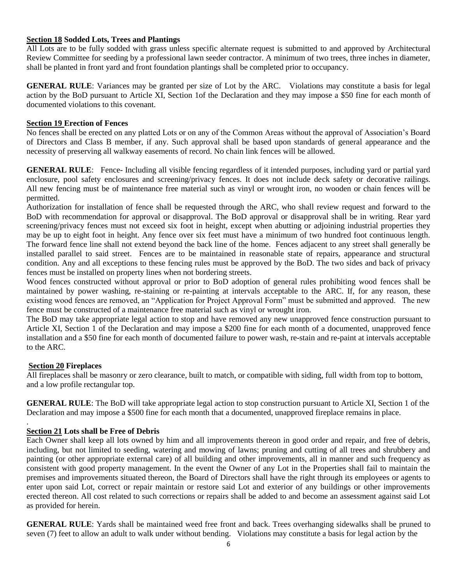### **Section 18 Sodded Lots, Trees and Plantings**

All Lots are to be fully sodded with grass unless specific alternate request is submitted to and approved by Architectural Review Committee for seeding by a professional lawn seeder contractor. A minimum of two trees, three inches in diameter, shall be planted in front yard and front foundation plantings shall be completed prior to occupancy.

**GENERAL RULE**: Variances may be granted per size of Lot by the ARC. Violations may constitute a basis for legal action by the BoD pursuant to Article XI, Section 1of the Declaration and they may impose a \$50 fine for each month of documented violations to this covenant.

### **Section 19 Erection of Fences**

No fences shall be erected on any platted Lots or on any of the Common Areas without the approval of Association's Board of Directors and Class B member, if any. Such approval shall be based upon standards of general appearance and the necessity of preserving all walkway easements of record. No chain link fences will be allowed.

**GENERAL RULE**: Fence- Including all visible fencing regardless of it intended purposes, including yard or partial yard enclosure, pool safety enclosures and screening/privacy fences. It does not include deck safety or decorative railings. All new fencing must be of maintenance free material such as vinyl or wrought iron, no wooden or chain fences will be permitted.

Authorization for installation of fence shall be requested through the ARC, who shall review request and forward to the BoD with recommendation for approval or disapproval. The BoD approval or disapproval shall be in writing. Rear yard screening/privacy fences must not exceed six foot in height, except when abutting or adjoining industrial properties they may be up to eight foot in height. Any fence over six feet must have a minimum of two hundred foot continuous length. The forward fence line shall not extend beyond the back line of the home. Fences adjacent to any street shall generally be installed parallel to said street. Fences are to be maintained in reasonable state of repairs, appearance and structural condition. Any and all exceptions to these fencing rules must be approved by the BoD. The two sides and back of privacy fences must be installed on property lines when not bordering streets.

Wood fences constructed without approval or prior to BoD adoption of general rules prohibiting wood fences shall be maintained by power washing, re-staining or re-painting at intervals acceptable to the ARC. If, for any reason, these existing wood fences are removed, an "Application for Project Approval Form" must be submitted and approved. The new fence must be constructed of a maintenance free material such as vinyl or wrought iron.

The BoD may take appropriate legal action to stop and have removed any new unapproved fence construction pursuant to Article XI, Section 1 of the Declaration and may impose a \$200 fine for each month of a documented, unapproved fence installation and a \$50 fine for each month of documented failure to power wash, re-stain and re-paint at intervals acceptable to the ARC.

#### **Section 20 Fireplaces**

.

All fireplaces shall be masonry or zero clearance, built to match, or compatible with siding, full width from top to bottom, and a low profile rectangular top.

**GENERAL RULE**: The BoD will take appropriate legal action to stop construction pursuant to Article XI, Section 1 of the Declaration and may impose a \$500 fine for each month that a documented, unapproved fireplace remains in place.

#### **Section 21 Lots shall be Free of Debris**

Each Owner shall keep all lots owned by him and all improvements thereon in good order and repair, and free of debris, including, but not limited to seeding, watering and mowing of lawns; pruning and cutting of all trees and shrubbery and painting (or other appropriate external care) of all building and other improvements, all in manner and such frequency as consistent with good property management. In the event the Owner of any Lot in the Properties shall fail to maintain the premises and improvements situated thereon, the Board of Directors shall have the right through its employees or agents to enter upon said Lot, correct or repair maintain or restore said Lot and exterior of any buildings or other improvements erected thereon. All cost related to such corrections or repairs shall be added to and become an assessment against said Lot as provided for herein.

**GENERAL RULE**: Yards shall be maintained weed free front and back. Trees overhanging sidewalks shall be pruned to seven (7) feet to allow an adult to walk under without bending. Violations may constitute a basis for legal action by the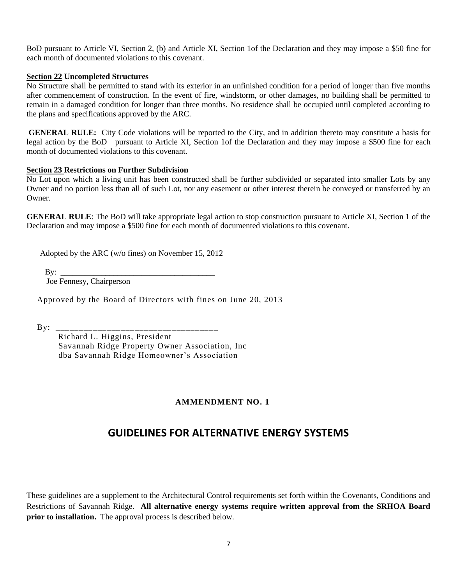BoD pursuant to Article VI, Section 2, (b) and Article XI, Section 1of the Declaration and they may impose a \$50 fine for each month of documented violations to this covenant.

#### **Section 22 Uncompleted Structures**

No Structure shall be permitted to stand with its exterior in an unfinished condition for a period of longer than five months after commencement of construction. In the event of fire, windstorm, or other damages, no building shall be permitted to remain in a damaged condition for longer than three months. No residence shall be occupied until completed according to the plans and specifications approved by the ARC.

**GENERAL RULE:** City Code violations will be reported to the City, and in addition thereto may constitute a basis for legal action by the BoD pursuant to Article XI, Section 1of the Declaration and they may impose a \$500 fine for each month of documented violations to this covenant.

#### **Section 23 Restrictions on Further Subdivision**

No Lot upon which a living unit has been constructed shall be further subdivided or separated into smaller Lots by any Owner and no portion less than all of such Lot, nor any easement or other interest therein be conveyed or transferred by an Owner.

**GENERAL RULE:** The BoD will take appropriate legal action to stop construction pursuant to Article XI, Section 1 of the Declaration and may impose a \$500 fine for each month of documented violations to this covenant.

Adopted by the ARC (w/o fines) on November 15, 2012

By:  $\qquad \qquad$ 

Joe Fennesy, Chairperson

Approved by the Board of Directors with fines on June 20, 2013

 $By:$ 

 Richard L. Higgins, President Savannah Ridge Property Owner Association, Inc dba Savannah Ridge Homeowner's Association

# **AMMENDMENT NO. 1**

# **GUIDELINES FOR ALTERNATIVE ENERGY SYSTEMS**

These guidelines are a supplement to the Architectural Control requirements set forth within the Covenants, Conditions and Restrictions of Savannah Ridge. **All alternative energy systems require written approval from the SRHOA Board prior to installation.** The approval process is described below.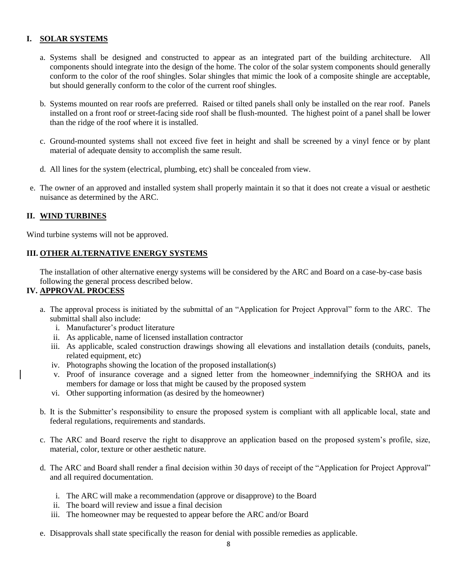# **I. SOLAR SYSTEMS**

- a. Systems shall be designed and constructed to appear as an integrated part of the building architecture. All components should integrate into the design of the home. The color of the solar system components should generally conform to the color of the roof shingles. Solar shingles that mimic the look of a composite shingle are acceptable, but should generally conform to the color of the current roof shingles.
- b. Systems mounted on rear roofs are preferred. Raised or tilted panels shall only be installed on the rear roof. Panels installed on a front roof or street-facing side roof shall be flush-mounted. The highest point of a panel shall be lower than the ridge of the roof where it is installed.
- c. Ground-mounted systems shall not exceed five feet in height and shall be screened by a vinyl fence or by plant material of adequate density to accomplish the same result.
- d. All lines for the system (electrical, plumbing, etc) shall be concealed from view.
- e. The owner of an approved and installed system shall properly maintain it so that it does not create a visual or aesthetic nuisance as determined by the ARC.

#### **II. WIND TURBINES**

Wind turbine systems will not be approved.

# **III. OTHER ALTERNATIVE ENERGY SYSTEMS**

The installation of other alternative energy systems will be considered by the ARC and Board on a case-by-case basis following the general process described below.

#### **IV. APPROVAL PROCESS**

- a. The approval process is initiated by the submittal of an "Application for Project Approval" form to the ARC. The submittal shall also include:
	- i. Manufacturer's product literature
	- ii. As applicable, name of licensed installation contractor
	- iii. As applicable, scaled construction drawings showing all elevations and installation details (conduits, panels, related equipment, etc)
	- iv. Photographs showing the location of the proposed installation(s)
	- v. Proof of insurance coverage and a signed letter from the homeowner indemnifying the SRHOA and its members for damage or loss that might be caused by the proposed system
	- vi. Other supporting information (as desired by the homeowner)
- b. It is the Submitter's responsibility to ensure the proposed system is compliant with all applicable local, state and federal regulations, requirements and standards.
- c. The ARC and Board reserve the right to disapprove an application based on the proposed system's profile, size, material, color, texture or other aesthetic nature.
- d. The ARC and Board shall render a final decision within 30 days of receipt of the "Application for Project Approval" and all required documentation.
	- i. The ARC will make a recommendation (approve or disapprove) to the Board
	- ii. The board will review and issue a final decision
	- iii. The homeowner may be requested to appear before the ARC and/or Board
- e. Disapprovals shall state specifically the reason for denial with possible remedies as applicable.